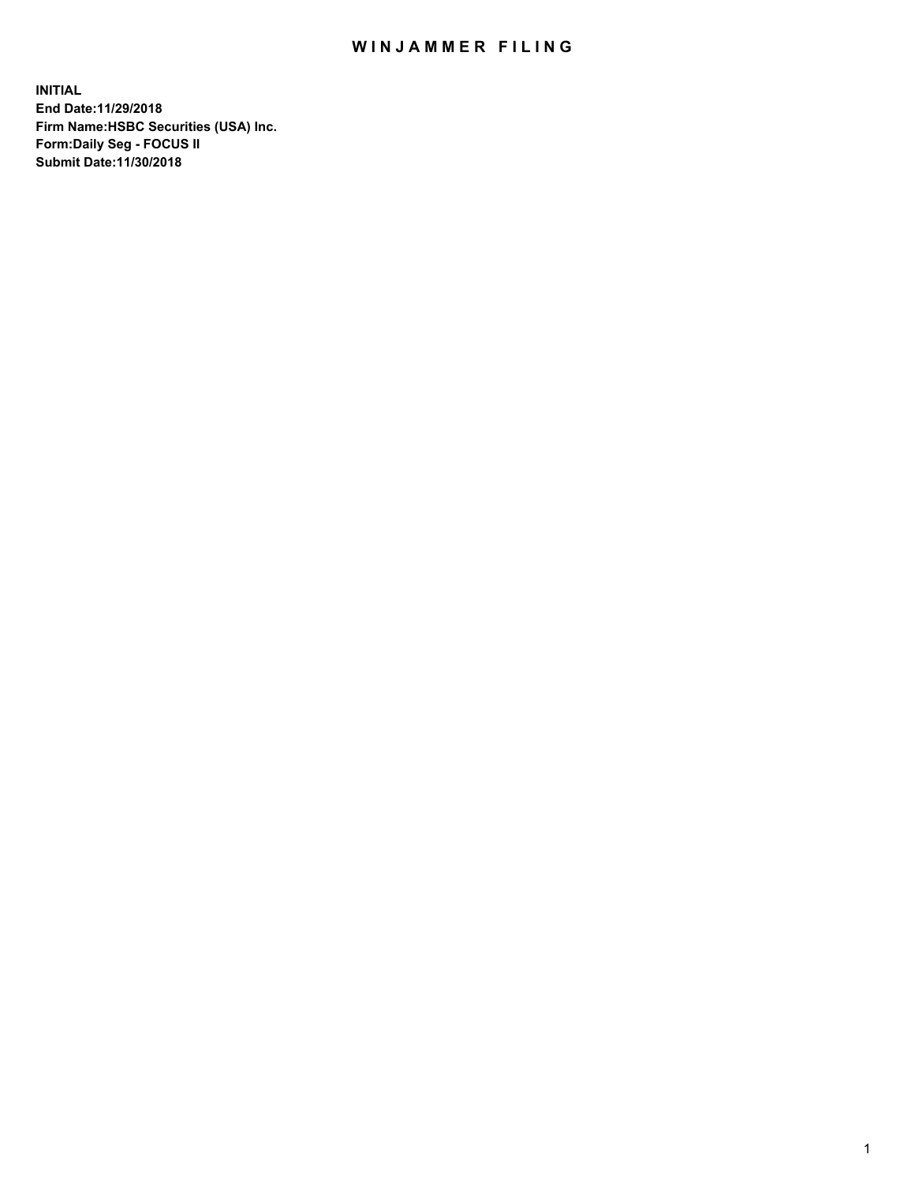## WIN JAMMER FILING

**INITIAL End Date:11/29/2018 Firm Name:HSBC Securities (USA) Inc. Form:Daily Seg - FOCUS II Submit Date:11/30/2018**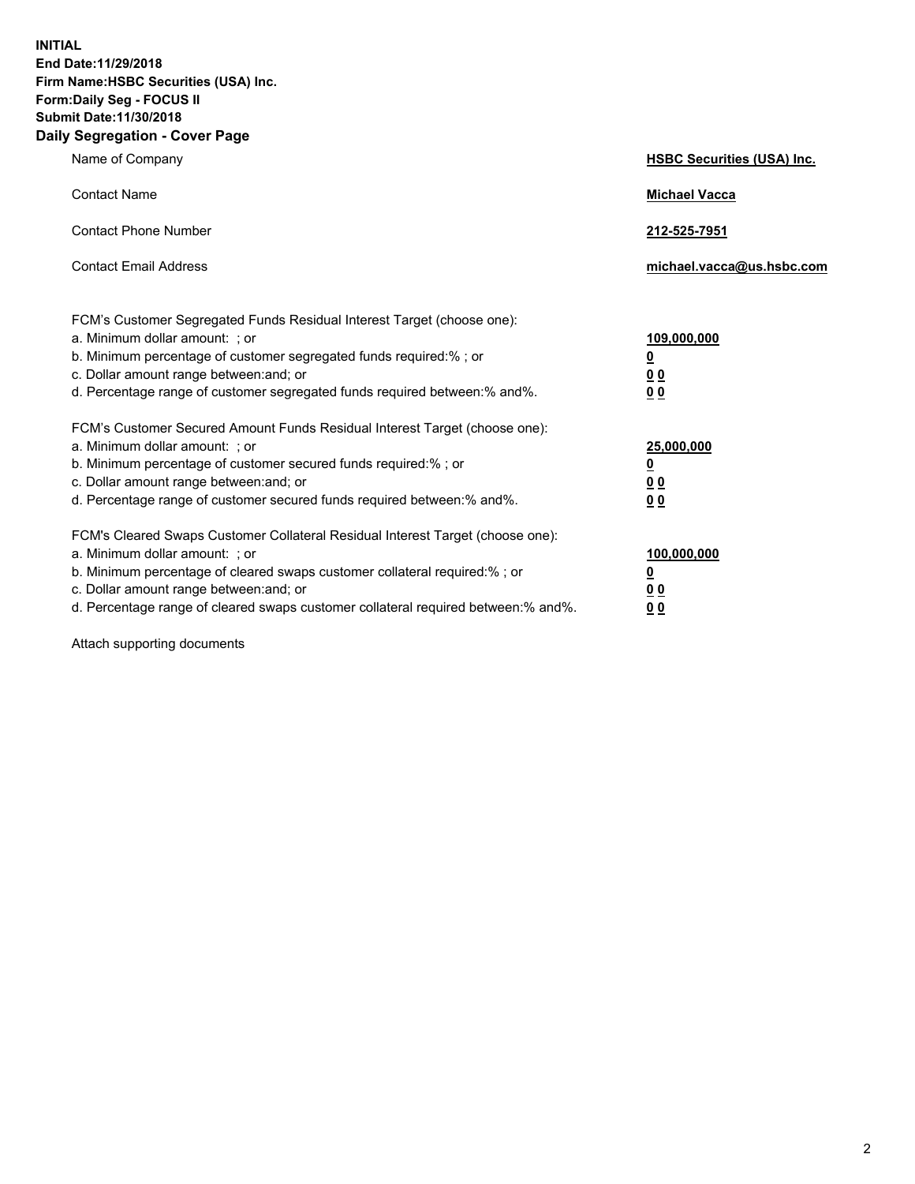**INITIAL End Date:11/29/2018 Firm Name:HSBC Securities (USA) Inc. Form:Daily Seg - FOCUS II Submit Date:11/30/2018 Daily Segregation - Cover Page**

| Name of Company                                                                                                                                                                                                                                                                                                                | <b>HSBC Securities (USA) Inc.</b>                                          |
|--------------------------------------------------------------------------------------------------------------------------------------------------------------------------------------------------------------------------------------------------------------------------------------------------------------------------------|----------------------------------------------------------------------------|
| <b>Contact Name</b>                                                                                                                                                                                                                                                                                                            | <b>Michael Vacca</b>                                                       |
| <b>Contact Phone Number</b>                                                                                                                                                                                                                                                                                                    | 212-525-7951                                                               |
| <b>Contact Email Address</b>                                                                                                                                                                                                                                                                                                   | michael.vacca@us.hsbc.com                                                  |
| FCM's Customer Segregated Funds Residual Interest Target (choose one):<br>a. Minimum dollar amount: : or<br>b. Minimum percentage of customer segregated funds required:% ; or<br>c. Dollar amount range between: and; or<br>d. Percentage range of customer segregated funds required between:% and%.                         | 109,000,000<br>$\overline{\mathbf{0}}$<br>0 <sub>0</sub><br>0 <sub>0</sub> |
| FCM's Customer Secured Amount Funds Residual Interest Target (choose one):<br>a. Minimum dollar amount: ; or<br>b. Minimum percentage of customer secured funds required:%; or<br>c. Dollar amount range between: and; or<br>d. Percentage range of customer secured funds required between:% and%.                            | 25,000,000<br><u>0</u><br>0 <sub>0</sub><br>00                             |
| FCM's Cleared Swaps Customer Collateral Residual Interest Target (choose one):<br>a. Minimum dollar amount: ; or<br>b. Minimum percentage of cleared swaps customer collateral required:% ; or<br>c. Dollar amount range between: and; or<br>d. Percentage range of cleared swaps customer collateral required between:% and%. | 100,000,000<br><u>0</u><br>00<br>0 <sub>0</sub>                            |

Attach supporting documents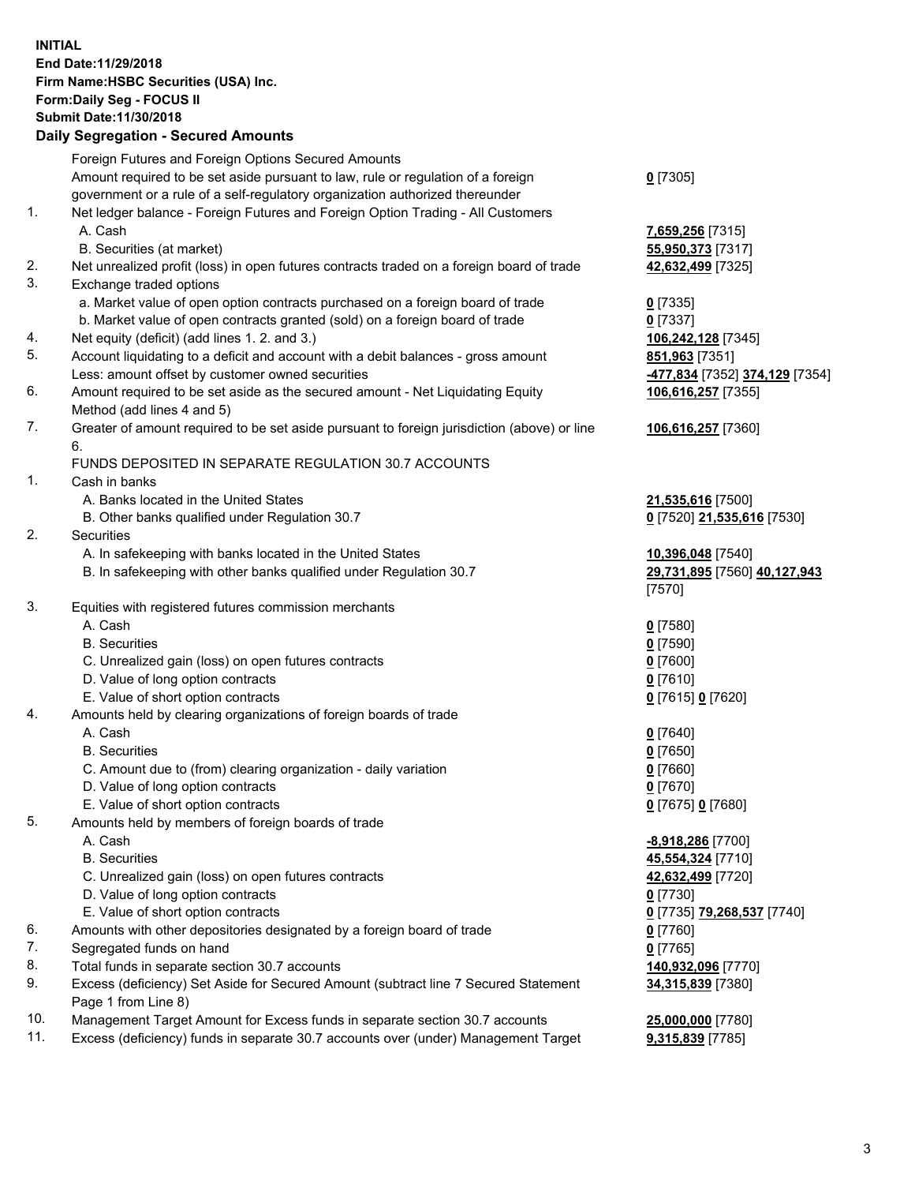**INITIAL End Date:11/29/2018 Firm Name:HSBC Securities (USA) Inc. Form:Daily Seg - FOCUS II Submit Date:11/30/2018 Daily Segregation - Secured Amounts** Foreign Futures and Foreign Options Secured Amounts Amount required to be set aside pursuant to law, rule or regulation of a foreign government or a rule of a self-regulatory organization authorized thereunder **0** [7305] 1. Net ledger balance - Foreign Futures and Foreign Option Trading - All Customers A. Cash **7,659,256** [7315] B. Securities (at market) **55,950,373** [7317] 2. Net unrealized profit (loss) in open futures contracts traded on a foreign board of trade **42,632,499** [7325] 3. Exchange traded options a. Market value of open option contracts purchased on a foreign board of trade **0** [7335] b. Market value of open contracts granted (sold) on a foreign board of trade **0** [7337] 4. Net equity (deficit) (add lines 1. 2. and 3.) **106,242,128** [7345] 5. Account liquidating to a deficit and account with a debit balances - gross amount **851,963** [7351] Less: amount offset by customer owned securities **-477,834** [7352] **374,129** [7354] 6. Amount required to be set aside as the secured amount - Net Liquidating Equity Method (add lines 4 and 5) **106,616,257** [7355] 7. Greater of amount required to be set aside pursuant to foreign jurisdiction (above) or line 6. **106,616,257** [7360] FUNDS DEPOSITED IN SEPARATE REGULATION 30.7 ACCOUNTS 1. Cash in banks A. Banks located in the United States **21,535,616** [7500] B. Other banks qualified under Regulation 30.7 **0** [7520] **21,535,616** [7530] 2. Securities A. In safekeeping with banks located in the United States **10,396,048** [7540] B. In safekeeping with other banks qualified under Regulation 30.7 **29,731,895** [7560] **40,127,943** [7570] 3. Equities with registered futures commission merchants A. Cash **0** [7580] B. Securities **0** [7590] C. Unrealized gain (loss) on open futures contracts **0** [7600] D. Value of long option contracts **0** [7610] E. Value of short option contracts **0** [7615] **0** [7620] 4. Amounts held by clearing organizations of foreign boards of trade A. Cash **0** [7640] B. Securities **0** [7650] C. Amount due to (from) clearing organization - daily variation **0** [7660] D. Value of long option contracts **0** [7670] E. Value of short option contracts **0** [7675] **0** [7680] 5. Amounts held by members of foreign boards of trade A. Cash **-8,918,286** [7700] B. Securities **45,554,324** [7710] C. Unrealized gain (loss) on open futures contracts **42,632,499** [7720] D. Value of long option contracts **0** [7730] E. Value of short option contracts **0** [7735] **79,268,537** [7740] 6. Amounts with other depositories designated by a foreign board of trade **0** [7760]

- 7. Segregated funds on hand **0** [7765]
- 8. Total funds in separate section 30.7 accounts **140,932,096** [7770]
- 9. Excess (deficiency) Set Aside for Secured Amount (subtract line 7 Secured Statement Page 1 from Line 8)
- 10. Management Target Amount for Excess funds in separate section 30.7 accounts **25,000,000** [7780]
- 11. Excess (deficiency) funds in separate 30.7 accounts over (under) Management Target **9,315,839** [7785]

**34,315,839** [7380]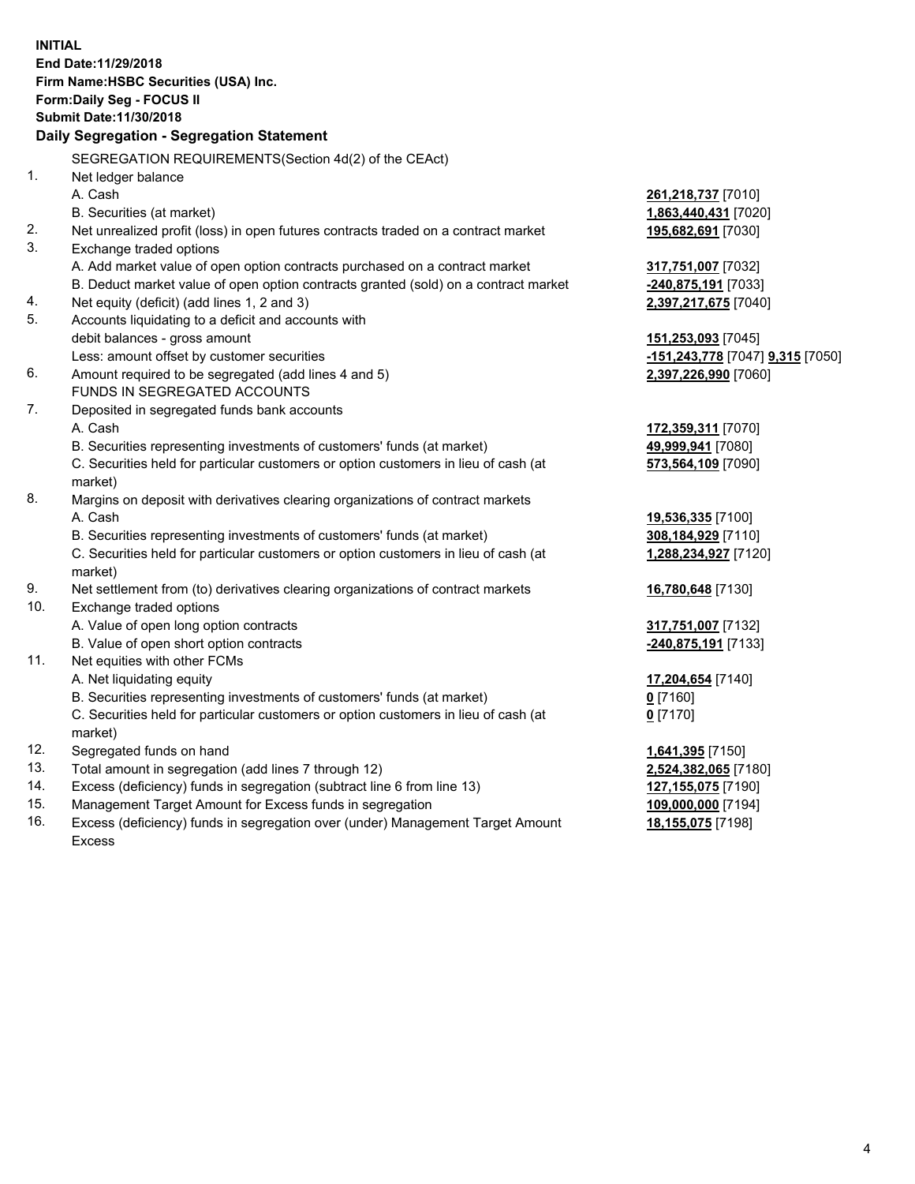**INITIAL End Date:11/29/2018 Firm Name:HSBC Securities (USA) Inc. Form:Daily Seg - FOCUS II Submit Date:11/30/2018 Daily Segregation - Segregation Statement** SEGREGATION REQUIREMENTS(Section 4d(2) of the CEAct) 1. Net ledger balance A. Cash **261,218,737** [7010] B. Securities (at market) **1,863,440,431** [7020] 2. Net unrealized profit (loss) in open futures contracts traded on a contract market **195,682,691** [7030] 3. Exchange traded options A. Add market value of open option contracts purchased on a contract market **317,751,007** [7032] B. Deduct market value of open option contracts granted (sold) on a contract market **-240,875,191** [7033] 4. Net equity (deficit) (add lines 1, 2 and 3) **2,397,217,675** [7040] 5. Accounts liquidating to a deficit and accounts with debit balances - gross amount **151,253,093** [7045] Less: amount offset by customer securities **-151,243,778** [7047] **9,315** [7050] 6. Amount required to be segregated (add lines 4 and 5) **2,397,226,990** [7060] FUNDS IN SEGREGATED ACCOUNTS 7. Deposited in segregated funds bank accounts A. Cash **172,359,311** [7070] B. Securities representing investments of customers' funds (at market) **49,999,941** [7080] C. Securities held for particular customers or option customers in lieu of cash (at market) **573,564,109** [7090] 8. Margins on deposit with derivatives clearing organizations of contract markets A. Cash **19,536,335** [7100] B. Securities representing investments of customers' funds (at market) **308,184,929** [7110] C. Securities held for particular customers or option customers in lieu of cash (at market) **1,288,234,927** [7120] 9. Net settlement from (to) derivatives clearing organizations of contract markets **16,780,648** [7130] 10. Exchange traded options A. Value of open long option contracts **317,751,007** [7132] B. Value of open short option contracts **-240,875,191** [7133] 11. Net equities with other FCMs A. Net liquidating equity **17,204,654** [7140] B. Securities representing investments of customers' funds (at market) **0** [7160] C. Securities held for particular customers or option customers in lieu of cash (at market) **0** [7170] 12. Segregated funds on hand **1,641,395** [7150] 13. Total amount in segregation (add lines 7 through 12) **2,524,382,065** [7180] 14. Excess (deficiency) funds in segregation (subtract line 6 from line 13) **127,155,075** [7190] 15. Management Target Amount for Excess funds in segregation **109,000,000** [7194] **18,155,075** [7198]

16. Excess (deficiency) funds in segregation over (under) Management Target Amount Excess